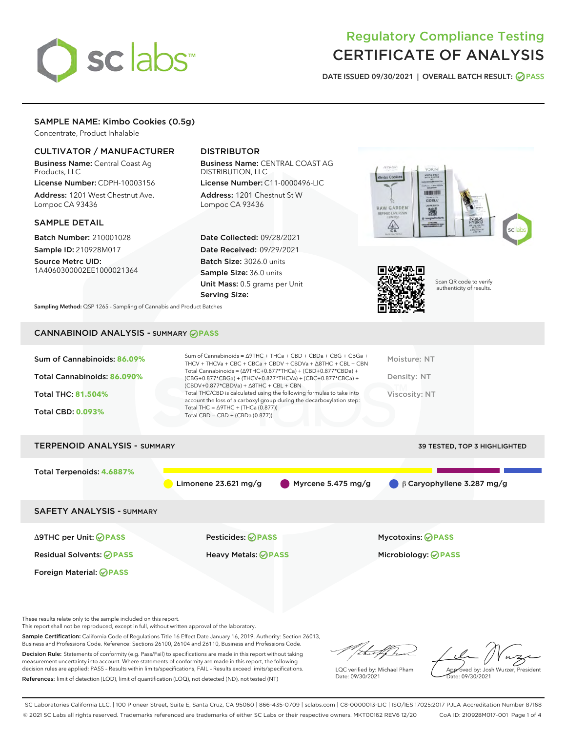# sclabs<sup>\*</sup>

# Regulatory Compliance Testing CERTIFICATE OF ANALYSIS

DATE ISSUED 09/30/2021 | OVERALL BATCH RESULT: @ PASS

# SAMPLE NAME: Kimbo Cookies (0.5g)

Concentrate, Product Inhalable

# CULTIVATOR / MANUFACTURER

Business Name: Central Coast Ag Products, LLC

License Number: CDPH-10003156 Address: 1201 West Chestnut Ave. Lompoc CA 93436

#### SAMPLE DETAIL

Batch Number: 210001028 Sample ID: 210928M017

Source Metrc UID: 1A4060300002EE1000021364

# DISTRIBUTOR

Business Name: CENTRAL COAST AG DISTRIBUTION, LLC

License Number: C11-0000496-LIC Address: 1201 Chestnut St W Lompoc CA 93436

Date Collected: 09/28/2021 Date Received: 09/29/2021 Batch Size: 3026.0 units Sample Size: 36.0 units Unit Mass: 0.5 grams per Unit Serving Size:





Scan QR code to verify authenticity of results.

Sampling Method: QSP 1265 - Sampling of Cannabis and Product Batches

# CANNABINOID ANALYSIS - SUMMARY **PASS**

| Sum of Cannabinoids: 86.09%<br>Total Cannabinoids: 86.090%<br><b>Total THC: 81.504%</b><br><b>Total CBD: 0.093%</b> | Sum of Cannabinoids = $\triangle$ 9THC + THCa + CBD + CBDa + CBG + CBGa +<br>THCV + THCVa + CBC + CBCa + CBDV + CBDVa + $\Delta$ 8THC + CBL + CBN<br>Total Cannabinoids = $(\Delta$ 9THC+0.877*THCa) + (CBD+0.877*CBDa) +<br>(CBG+0.877*CBGa) + (THCV+0.877*THCVa) + (CBC+0.877*CBCa) +<br>$(CBDV+0.877*CBDVa) + \Delta 8THC + CBL + CBN$<br>Total THC/CBD is calculated using the following formulas to take into<br>account the loss of a carboxyl group during the decarboxylation step:<br>Total THC = $\triangle$ 9THC + (THCa (0.877))<br>Total CBD = $CBD + (CBDa (0.877))$ | Moisture: NT<br>Density: NT<br>Viscosity: NT           |
|---------------------------------------------------------------------------------------------------------------------|------------------------------------------------------------------------------------------------------------------------------------------------------------------------------------------------------------------------------------------------------------------------------------------------------------------------------------------------------------------------------------------------------------------------------------------------------------------------------------------------------------------------------------------------------------------------------------|--------------------------------------------------------|
| <b>TERPENOID ANALYSIS - SUMMARY</b>                                                                                 |                                                                                                                                                                                                                                                                                                                                                                                                                                                                                                                                                                                    | <b>39 TESTED, TOP 3 HIGHLIGHTED</b>                    |
| Total Terpenoids: 4.6887%                                                                                           | Myrcene 5.475 mg/g<br>Limonene $23.621 \,\mathrm{mg/g}$                                                                                                                                                                                                                                                                                                                                                                                                                                                                                                                            | $\beta$ Caryophyllene 3.287 mg/g                       |
| <b>SAFETY ANALYSIS - SUMMARY</b>                                                                                    |                                                                                                                                                                                                                                                                                                                                                                                                                                                                                                                                                                                    |                                                        |
| $\triangle$ 9THC per Unit: $\odot$ PASS<br><b>Residual Solvents: ⊘PASS</b><br>Foreign Material: <b>⊘ PASS</b>       | Pesticides: ⊘PASS<br>Heavy Metals: <b>OPASS</b>                                                                                                                                                                                                                                                                                                                                                                                                                                                                                                                                    | <b>Mycotoxins: ⊘PASS</b><br>Microbiology: <b>OPASS</b> |

These results relate only to the sample included on this report.

This report shall not be reproduced, except in full, without written approval of the laboratory.

Sample Certification: California Code of Regulations Title 16 Effect Date January 16, 2019. Authority: Section 26013, Business and Professions Code. Reference: Sections 26100, 26104 and 26110, Business and Professions Code.

Decision Rule: Statements of conformity (e.g. Pass/Fail) to specifications are made in this report without taking measurement uncertainty into account. Where statements of conformity are made in this report, the following decision rules are applied: PASS – Results within limits/specifications, FAIL – Results exceed limits/specifications. References: limit of detection (LOD), limit of quantification (LOQ), not detected (ND), not tested (NT)

/ that f(ho

LQC verified by: Michael Pham Date: 09/30/2021

Approved by: Josh Wurzer, President ate: 09/30/2021

SC Laboratories California LLC. | 100 Pioneer Street, Suite E, Santa Cruz, CA 95060 | 866-435-0709 | sclabs.com | C8-0000013-LIC | ISO/IES 17025:2017 PJLA Accreditation Number 87168 © 2021 SC Labs all rights reserved. Trademarks referenced are trademarks of either SC Labs or their respective owners. MKT00162 REV6 12/20 CoA ID: 210928M017-001 Page 1 of 4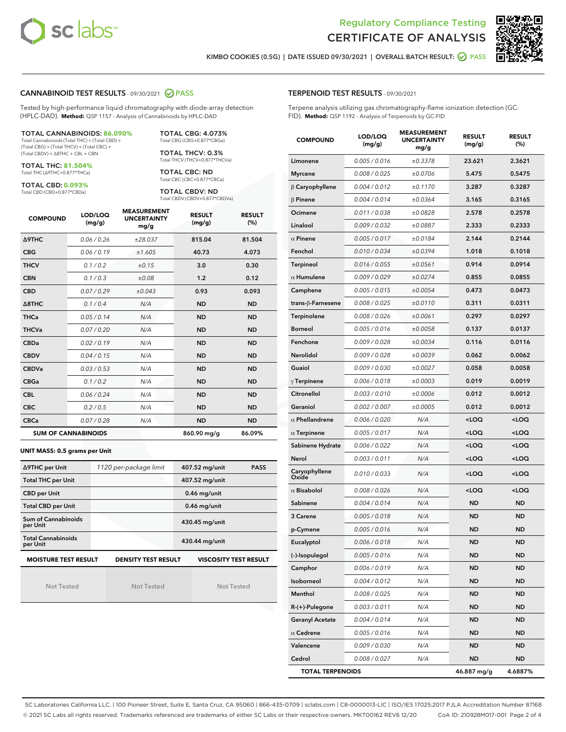



KIMBO COOKIES (0.5G) | DATE ISSUED 09/30/2021 | OVERALL BATCH RESULT: @ PASS

#### CANNABINOID TEST RESULTS - 09/30/2021 2 PASS

Tested by high-performance liquid chromatography with diode-array detection (HPLC-DAD). **Method:** QSP 1157 - Analysis of Cannabinoids by HPLC-DAD

#### TOTAL CANNABINOIDS: **86.090%**

Total Cannabinoids (Total THC) + (Total CBD) + (Total CBG) + (Total THCV) + (Total CBC) + (Total CBDV) + ∆8THC + CBL + CBN

TOTAL THC: **81.504%** Total THC (∆9THC+0.877\*THCa)

TOTAL CBD: **0.093%**

Total CBD (CBD+0.877\*CBDa)

TOTAL CBG: 4.073% Total CBG (CBG+0.877\*CBGa)

TOTAL THCV: 0.3% Total THCV (THCV+0.877\*THCVa)

TOTAL CBC: ND Total CBC (CBC+0.877\*CBCa)

TOTAL CBDV: ND Total CBDV (CBDV+0.877\*CBDVa)

| <b>COMPOUND</b>  | LOD/LOQ<br>(mg/g)          | <b>MEASUREMENT</b><br><b>UNCERTAINTY</b><br>mg/g | <b>RESULT</b><br>(mg/g) | <b>RESULT</b><br>(%) |
|------------------|----------------------------|--------------------------------------------------|-------------------------|----------------------|
| <b>A9THC</b>     | 0.06 / 0.26                | ±28.037                                          | 815.04                  | 81.504               |
| <b>CBG</b>       | 0.06/0.19                  | ±1.605                                           | 40.73                   | 4.073                |
| <b>THCV</b>      | 0.1 / 0.2                  | ±0.15                                            | 3.0                     | 0.30                 |
| <b>CBN</b>       | 0.1/0.3                    | ±0.08                                            | 1.2                     | 0.12                 |
| <b>CBD</b>       | 0.07/0.29                  | ±0.043                                           | 0.93                    | 0.093                |
| $\triangle$ 8THC | 0.1/0.4                    | N/A                                              | <b>ND</b>               | <b>ND</b>            |
| <b>THCa</b>      | 0.05/0.14                  | N/A                                              | <b>ND</b>               | <b>ND</b>            |
| <b>THCVa</b>     | 0.07/0.20                  | N/A                                              | <b>ND</b>               | <b>ND</b>            |
| <b>CBDa</b>      | 0.02/0.19                  | N/A                                              | <b>ND</b>               | <b>ND</b>            |
| <b>CBDV</b>      | 0.04 / 0.15                | N/A                                              | <b>ND</b>               | <b>ND</b>            |
| <b>CBDVa</b>     | 0.03/0.53                  | N/A                                              | <b>ND</b>               | <b>ND</b>            |
| <b>CBGa</b>      | 0.1 / 0.2                  | N/A                                              | <b>ND</b>               | <b>ND</b>            |
| <b>CBL</b>       | 0.06/0.24                  | N/A                                              | <b>ND</b>               | <b>ND</b>            |
| <b>CBC</b>       | 0.2 / 0.5                  | N/A                                              | <b>ND</b>               | <b>ND</b>            |
| <b>CBCa</b>      | 0.07/0.28                  | N/A                                              | <b>ND</b>               | <b>ND</b>            |
|                  | <b>SUM OF CANNABINOIDS</b> |                                                  | 860.90 mg/g             | 86.09%               |

#### **UNIT MASS: 0.5 grams per Unit**

| ∆9THC per Unit                        | 1120 per-package limit     | 407.52 mg/unit<br><b>PASS</b> |
|---------------------------------------|----------------------------|-------------------------------|
| <b>Total THC per Unit</b>             |                            | 407.52 mg/unit                |
| <b>CBD per Unit</b>                   |                            | $0.46$ mg/unit                |
| <b>Total CBD per Unit</b>             |                            | $0.46$ mg/unit                |
| Sum of Cannabinoids<br>per Unit       |                            | 430.45 mg/unit                |
| <b>Total Cannabinoids</b><br>per Unit |                            | 430.44 mg/unit                |
| <b>MOISTURE TEST RESULT</b>           | <b>DENSITY TEST RESULT</b> | <b>VISCOSITY TEST RESULT</b>  |

Not Tested

Not Tested

Not Tested

#### TERPENOID TEST RESULTS - 09/30/2021

Terpene analysis utilizing gas chromatography-flame ionization detection (GC-FID). **Method:** QSP 1192 - Analysis of Terpenoids by GC-FID

| <b>COMPOUND</b>         | LOD/LOQ<br>(mg/g) | <b>MEASUREMENT</b><br><b>UNCERTAINTY</b><br>mg/g | <b>RESULT</b><br>(mg/g)                         | <b>RESULT</b><br>(%) |
|-------------------------|-------------------|--------------------------------------------------|-------------------------------------------------|----------------------|
| Limonene                | 0.005 / 0.016     | ±0.3378                                          | 23.621                                          | 2.3621               |
| <b>Myrcene</b>          | 0.008 / 0.025     | ±0.0706                                          | 5.475                                           | 0.5475               |
| $\beta$ Caryophyllene   | 0.004 / 0.012     | ±0.1170                                          | 3.287                                           | 0.3287               |
| $\beta$ Pinene          | 0.004 / 0.014     | ±0.0364                                          | 3.165                                           | 0.3165               |
| Ocimene                 | 0.011 / 0.038     | ±0.0828                                          | 2.578                                           | 0.2578               |
| Linalool                | 0.009 / 0.032     | ±0.0887                                          | 2.333                                           | 0.2333               |
| $\alpha$ Pinene         | 0.005 / 0.017     | ±0.0184                                          | 2.144                                           | 0.2144               |
| Fenchol                 | 0.010 / 0.034     | ±0.0394                                          | 1.018                                           | 0.1018               |
| Terpineol               | 0.016 / 0.055     | ±0.0561                                          | 0.914                                           | 0.0914               |
| $\alpha$ Humulene       | 0.009 / 0.029     | ±0.0274                                          | 0.855                                           | 0.0855               |
| Camphene                | 0.005 / 0.015     | ±0.0054                                          | 0.473                                           | 0.0473               |
| trans-ß-Farnesene       | 0.008 / 0.025     | ±0.0110                                          | 0.311                                           | 0.0311               |
| Terpinolene             | 0.008 / 0.026     | ±0.0061                                          | 0.297                                           | 0.0297               |
| <b>Borneol</b>          | 0.005 / 0.016     | ±0.0058                                          | 0.137                                           | 0.0137               |
| Fenchone                | 0.009 / 0.028     | ±0.0034                                          | 0.116                                           | 0.0116               |
| Nerolidol               | 0.009 / 0.028     | ±0.0039                                          | 0.062                                           | 0.0062               |
| Guaiol                  | 0.009 / 0.030     | ±0.0027                                          | 0.058                                           | 0.0058               |
| $\gamma$ Terpinene      | 0.006 / 0.018     | ±0.0003                                          | 0.019                                           | 0.0019               |
| Citronellol             | 0.003 / 0.010     | ±0.0006                                          | 0.012                                           | 0.0012               |
| Geraniol                | 0.002 / 0.007     | ±0.0005                                          | 0.012                                           | 0.0012               |
| $\alpha$ Phellandrene   | 0.006 / 0.020     | N/A                                              | <loq< th=""><th><loq< th=""></loq<></th></loq<> | <loq< th=""></loq<>  |
| $\alpha$ Terpinene      | 0.005 / 0.017     | N/A                                              | <loq< th=""><th><loq< th=""></loq<></th></loq<> | <loq< th=""></loq<>  |
| Sabinene Hydrate        | 0.006 / 0.022     | N/A                                              | <loq< th=""><th><loq< th=""></loq<></th></loq<> | <loq< th=""></loq<>  |
| Nerol                   | 0.003 / 0.011     | N/A                                              | <loq< th=""><th><loq< th=""></loq<></th></loq<> | <loq< th=""></loq<>  |
| Caryophyllene<br>Oxide  | 0.010 / 0.033     | N/A                                              | <loq< th=""><th><loq< th=""></loq<></th></loq<> | <loq< th=""></loq<>  |
| $\alpha$ Bisabolol      | 0.008 / 0.026     | N/A                                              | <loq< th=""><th><loq< th=""></loq<></th></loq<> | <loq< th=""></loq<>  |
| Sabinene                | 0.004 / 0.014     | N/A                                              | ND                                              | <b>ND</b>            |
| 3 Carene                | 0.005 / 0.018     | N/A                                              | ND                                              | <b>ND</b>            |
| p-Cymene                | 0.005 / 0.016     | N/A                                              | ND                                              | ND                   |
| Eucalyptol              | 0.006 / 0.018     | N/A                                              | <b>ND</b>                                       | <b>ND</b>            |
| (-)-Isopulegol          | 0.005 / 0.016     | N/A                                              | ND                                              | ND                   |
| Camphor                 | 0.006 / 0.019     | N/A                                              | ND                                              | ND                   |
| Isoborneol              | 0.004 / 0.012     | N/A                                              | <b>ND</b>                                       | <b>ND</b>            |
| Menthol                 | 0.008 / 0.025     | N/A                                              | <b>ND</b>                                       | ND                   |
| R-(+)-Pulegone          | 0.003 / 0.011     | N/A                                              | ND                                              | ND                   |
| <b>Geranyl Acetate</b>  | 0.004 / 0.014     | N/A                                              | ND                                              | <b>ND</b>            |
| $\alpha$ Cedrene        | 0.005 / 0.016     | N/A                                              | <b>ND</b>                                       | ND                   |
| Valencene               | 0.009 / 0.030     | N/A                                              | ND                                              | ND                   |
| Cedrol                  | 0.008 / 0.027     | N/A                                              | <b>ND</b>                                       | ND                   |
| <b>TOTAL TERPENOIDS</b> |                   |                                                  | 46.887 mg/g                                     | 4.6887%              |

SC Laboratories California LLC. | 100 Pioneer Street, Suite E, Santa Cruz, CA 95060 | 866-435-0709 | sclabs.com | C8-0000013-LIC | ISO/IES 17025:2017 PJLA Accreditation Number 87168 © 2021 SC Labs all rights reserved. Trademarks referenced are trademarks of either SC Labs or their respective owners. MKT00162 REV6 12/20 CoA ID: 210928M017-001 Page 2 of 4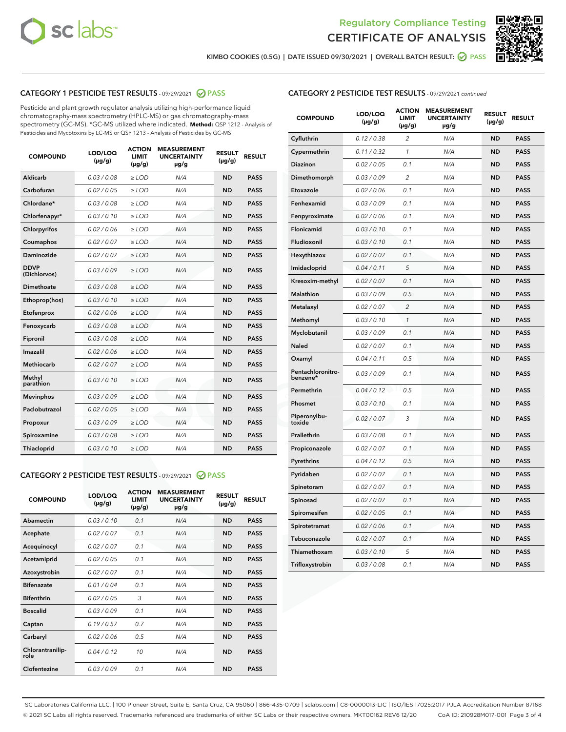



KIMBO COOKIES (0.5G) | DATE ISSUED 09/30/2021 | OVERALL BATCH RESULT:  $\bigcirc$  PASS

# CATEGORY 1 PESTICIDE TEST RESULTS - 09/29/2021 2 PASS

Pesticide and plant growth regulator analysis utilizing high-performance liquid chromatography-mass spectrometry (HPLC-MS) or gas chromatography-mass spectrometry (GC-MS). \*GC-MS utilized where indicated. **Method:** QSP 1212 - Analysis of Pesticides and Mycotoxins by LC-MS or QSP 1213 - Analysis of Pesticides by GC-MS

| <b>COMPOUND</b>             | LOD/LOQ<br>$(\mu g/g)$ | <b>ACTION</b><br><b>LIMIT</b><br>$(\mu q/q)$ | <b>MEASUREMENT</b><br><b>UNCERTAINTY</b><br>$\mu$ g/g | <b>RESULT</b><br>$(\mu g/g)$ | <b>RESULT</b> |
|-----------------------------|------------------------|----------------------------------------------|-------------------------------------------------------|------------------------------|---------------|
| Aldicarb                    | 0.03 / 0.08            | $\ge$ LOD                                    | N/A                                                   | <b>ND</b>                    | <b>PASS</b>   |
| Carbofuran                  | 0.02 / 0.05            | $\ge$ LOD                                    | N/A                                                   | <b>ND</b>                    | <b>PASS</b>   |
| Chlordane*                  | 0.03 / 0.08            | $\ge$ LOD                                    | N/A                                                   | <b>ND</b>                    | <b>PASS</b>   |
| Chlorfenapyr*               | 0.03/0.10              | $\ge$ LOD                                    | N/A                                                   | <b>ND</b>                    | <b>PASS</b>   |
| Chlorpyrifos                | 0.02 / 0.06            | $\ge$ LOD                                    | N/A                                                   | <b>ND</b>                    | <b>PASS</b>   |
| Coumaphos                   | 0.02 / 0.07            | $\ge$ LOD                                    | N/A                                                   | <b>ND</b>                    | <b>PASS</b>   |
| Daminozide                  | 0.02 / 0.07            | $\ge$ LOD                                    | N/A                                                   | <b>ND</b>                    | <b>PASS</b>   |
| <b>DDVP</b><br>(Dichlorvos) | 0.03/0.09              | $>$ LOD                                      | N/A                                                   | <b>ND</b>                    | <b>PASS</b>   |
| Dimethoate                  | 0.03 / 0.08            | $\ge$ LOD                                    | N/A                                                   | <b>ND</b>                    | <b>PASS</b>   |
| Ethoprop(hos)               | 0.03/0.10              | $\ge$ LOD                                    | N/A                                                   | <b>ND</b>                    | <b>PASS</b>   |
| Etofenprox                  | 0.02/0.06              | $>$ LOD                                      | N/A                                                   | <b>ND</b>                    | <b>PASS</b>   |
| Fenoxycarb                  | 0.03 / 0.08            | $\ge$ LOD                                    | N/A                                                   | <b>ND</b>                    | <b>PASS</b>   |
| Fipronil                    | 0.03/0.08              | $>$ LOD                                      | N/A                                                   | <b>ND</b>                    | <b>PASS</b>   |
| Imazalil                    | 0.02 / 0.06            | $\ge$ LOD                                    | N/A                                                   | <b>ND</b>                    | <b>PASS</b>   |
| Methiocarb                  | 0.02 / 0.07            | $\ge$ LOD                                    | N/A                                                   | <b>ND</b>                    | <b>PASS</b>   |
| Methyl<br>parathion         | 0.03/0.10              | $>$ LOD                                      | N/A                                                   | <b>ND</b>                    | <b>PASS</b>   |
| <b>Mevinphos</b>            | 0.03/0.09              | $>$ LOD                                      | N/A                                                   | <b>ND</b>                    | <b>PASS</b>   |
| Paclobutrazol               | 0.02 / 0.05            | $\ge$ LOD                                    | N/A                                                   | <b>ND</b>                    | <b>PASS</b>   |
| Propoxur                    | 0.03 / 0.09            | $\ge$ LOD                                    | N/A                                                   | <b>ND</b>                    | <b>PASS</b>   |
| Spiroxamine                 | 0.03 / 0.08            | $\ge$ LOD                                    | N/A                                                   | <b>ND</b>                    | <b>PASS</b>   |
| Thiacloprid                 | 0.03/0.10              | $\ge$ LOD                                    | N/A                                                   | <b>ND</b>                    | <b>PASS</b>   |
|                             |                        |                                              |                                                       |                              |               |

#### CATEGORY 2 PESTICIDE TEST RESULTS - 09/29/2021 @ PASS

| <b>COMPOUND</b>          | LOD/LOO<br>$(\mu g/g)$ | <b>ACTION</b><br>LIMIT<br>$(\mu g/g)$ | <b>MEASUREMENT</b><br><b>UNCERTAINTY</b><br>µg/g | <b>RESULT</b><br>$(\mu g/g)$ | <b>RESULT</b> |
|--------------------------|------------------------|---------------------------------------|--------------------------------------------------|------------------------------|---------------|
| Abamectin                | 0.03/0.10              | 0.1                                   | N/A                                              | <b>ND</b>                    | <b>PASS</b>   |
| Acephate                 | 0.02/0.07              | 0.1                                   | N/A                                              | <b>ND</b>                    | <b>PASS</b>   |
| Acequinocyl              | 0.02/0.07              | 0.1                                   | N/A                                              | <b>ND</b>                    | <b>PASS</b>   |
| Acetamiprid              | 0.02/0.05              | 0.1                                   | N/A                                              | <b>ND</b>                    | <b>PASS</b>   |
| Azoxystrobin             | 0.02/0.07              | 0.1                                   | N/A                                              | <b>ND</b>                    | <b>PASS</b>   |
| <b>Bifenazate</b>        | 0.01 / 0.04            | 0.1                                   | N/A                                              | <b>ND</b>                    | <b>PASS</b>   |
| <b>Bifenthrin</b>        | 0.02 / 0.05            | 3                                     | N/A                                              | <b>ND</b>                    | <b>PASS</b>   |
| <b>Boscalid</b>          | 0.03/0.09              | 0.1                                   | N/A                                              | <b>ND</b>                    | <b>PASS</b>   |
| Captan                   | 0.19/0.57              | 0.7                                   | N/A                                              | <b>ND</b>                    | <b>PASS</b>   |
| Carbaryl                 | 0.02/0.06              | 0.5                                   | N/A                                              | <b>ND</b>                    | <b>PASS</b>   |
| Chlorantranilip-<br>role | 0.04/0.12              | 10                                    | N/A                                              | <b>ND</b>                    | <b>PASS</b>   |
| Clofentezine             | 0.03/0.09              | 0.1                                   | N/A                                              | <b>ND</b>                    | <b>PASS</b>   |

| <b>CATEGORY 2 PESTICIDE TEST RESULTS</b> - 09/29/2021 continued |  |  |
|-----------------------------------------------------------------|--|--|
|                                                                 |  |  |

| <b>COMPOUND</b>               | LOD/LOQ<br>$(\mu g/g)$ | <b>ACTION</b><br><b>LIMIT</b><br>$(\mu g/g)$ | <b>MEASUREMENT</b><br><b>UNCERTAINTY</b><br>µg/g | <b>RESULT</b><br>(µg/g) | <b>RESULT</b> |
|-------------------------------|------------------------|----------------------------------------------|--------------------------------------------------|-------------------------|---------------|
| Cyfluthrin                    | 0.12 / 0.38            | $\overline{\mathcal{L}}$                     | N/A                                              | ND                      | <b>PASS</b>   |
| Cypermethrin                  | 0.11 / 0.32            | 1                                            | N/A                                              | <b>ND</b>               | <b>PASS</b>   |
| Diazinon                      | 0.02 / 0.05            | 0.1                                          | N/A                                              | ND                      | <b>PASS</b>   |
| Dimethomorph                  | 0.03 / 0.09            | 2                                            | N/A                                              | ND                      | <b>PASS</b>   |
| Etoxazole                     | 0.02 / 0.06            | 0.1                                          | N/A                                              | <b>ND</b>               | <b>PASS</b>   |
| Fenhexamid                    | 0.03 / 0.09            | 0.1                                          | N/A                                              | <b>ND</b>               | <b>PASS</b>   |
| Fenpyroximate                 | 0.02 / 0.06            | 0.1                                          | N/A                                              | ND                      | <b>PASS</b>   |
| Flonicamid                    | 0.03 / 0.10            | 0.1                                          | N/A                                              | ND                      | <b>PASS</b>   |
| Fludioxonil                   | 0.03 / 0.10            | 0.1                                          | N/A                                              | <b>ND</b>               | <b>PASS</b>   |
| Hexythiazox                   | 0.02 / 0.07            | 0.1                                          | N/A                                              | <b>ND</b>               | <b>PASS</b>   |
| Imidacloprid                  | 0.04 / 0.11            | 5                                            | N/A                                              | ND                      | <b>PASS</b>   |
| Kresoxim-methyl               | 0.02 / 0.07            | 0.1                                          | N/A                                              | <b>ND</b>               | <b>PASS</b>   |
| Malathion                     | 0.03 / 0.09            | 0.5                                          | N/A                                              | <b>ND</b>               | <b>PASS</b>   |
| Metalaxyl                     | 0.02 / 0.07            | $\overline{2}$                               | N/A                                              | ND                      | <b>PASS</b>   |
| Methomyl                      | 0.03 / 0.10            | 1                                            | N/A                                              | <b>ND</b>               | <b>PASS</b>   |
| Myclobutanil                  | 0.03 / 0.09            | 0.1                                          | N/A                                              | <b>ND</b>               | <b>PASS</b>   |
| Naled                         | 0.02 / 0.07            | 0.1                                          | N/A                                              | ND                      | <b>PASS</b>   |
| Oxamyl                        | 0.04 / 0.11            | 0.5                                          | N/A                                              | ND                      | <b>PASS</b>   |
| Pentachloronitro-<br>benzene* | 0.03 / 0.09            | 0.1                                          | N/A                                              | ND                      | <b>PASS</b>   |
| Permethrin                    | 0.04 / 0.12            | 0.5                                          | N/A                                              | ND                      | <b>PASS</b>   |
| Phosmet                       | 0.03/0.10              | 0.1                                          | N/A                                              | ND                      | <b>PASS</b>   |
| Piperonylbu-<br>toxide        | 0.02 / 0.07            | 3                                            | N/A                                              | ND                      | <b>PASS</b>   |
| Prallethrin                   | 0.03 / 0.08            | 0.1                                          | N/A                                              | ND                      | <b>PASS</b>   |
| Propiconazole                 | 0.02 / 0.07            | 0.1                                          | N/A                                              | ND                      | <b>PASS</b>   |
| Pyrethrins                    | 0.04 / 0.12            | 0.5                                          | N/A                                              | ND                      | <b>PASS</b>   |
| Pyridaben                     | 0.02 / 0.07            | 0.1                                          | N/A                                              | <b>ND</b>               | <b>PASS</b>   |
| Spinetoram                    | 0.02 / 0.07            | 0.1                                          | N/A                                              | ND                      | <b>PASS</b>   |
| Spinosad                      | 0.02 / 0.07            | 0.1                                          | N/A                                              | ND                      | <b>PASS</b>   |
| Spiromesifen                  | 0.02 / 0.05            | 0.1                                          | N/A                                              | ND                      | <b>PASS</b>   |
| Spirotetramat                 | 0.02 / 0.06            | 0.1                                          | N/A                                              | ND                      | <b>PASS</b>   |
| Tebuconazole                  | 0.02 / 0.07            | 0.1                                          | N/A                                              | ND                      | <b>PASS</b>   |
| Thiamethoxam                  | 0.03 / 0.10            | 5                                            | N/A                                              | ND                      | <b>PASS</b>   |
| Trifloxystrobin               | 0.03 / 0.08            | 0.1                                          | N/A                                              | ND                      | <b>PASS</b>   |

SC Laboratories California LLC. | 100 Pioneer Street, Suite E, Santa Cruz, CA 95060 | 866-435-0709 | sclabs.com | C8-0000013-LIC | ISO/IES 17025:2017 PJLA Accreditation Number 87168 © 2021 SC Labs all rights reserved. Trademarks referenced are trademarks of either SC Labs or their respective owners. MKT00162 REV6 12/20 CoA ID: 210928M017-001 Page 3 of 4